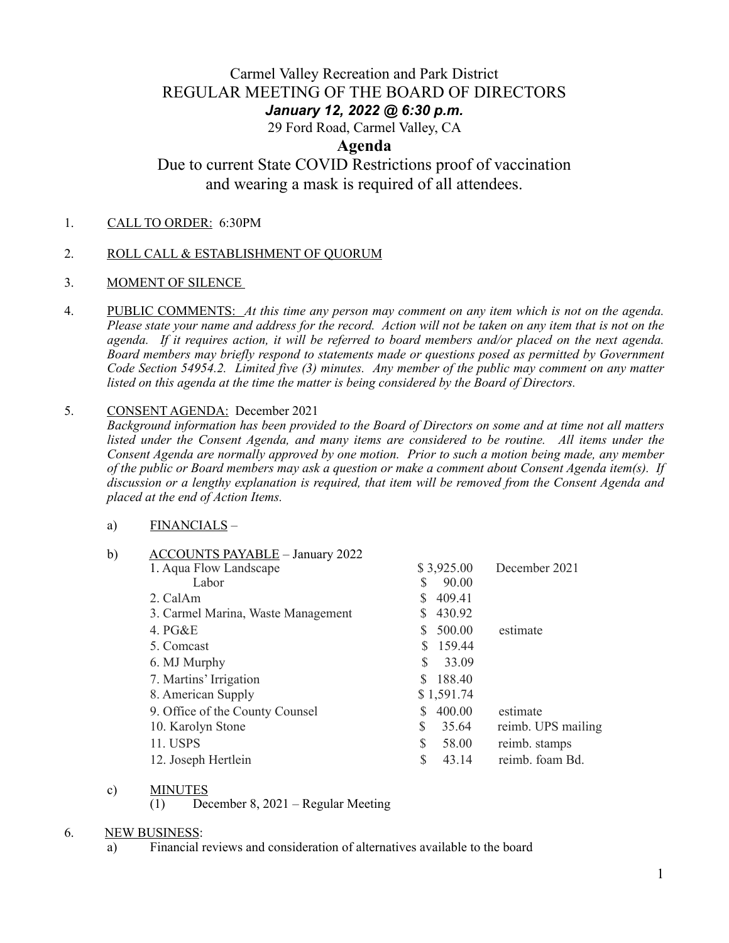## Carmel Valley Recreation and Park District REGULAR MEETING OF THE BOARD OF DIRECTORS *January 12, 2022 @ 6:30 p.m.*

29 Ford Road, Carmel Valley, CA

## **Agenda**

# Due to current State COVID Restrictions proof of vaccination and wearing a mask is required of all attendees.

1.CALL TO ORDER: 6:30PM

### 2. ROLL CALL & ESTABLISHMENT OF QUORUM

- 3. MOMENT OF SILENCE
- 4. PUBLIC COMMENTS: *At this time any person may comment on any item which is not on the agenda. Please state your name and address for the record. Action will not be taken on any item that is not on the agenda. If it requires action, it will be referred to board members and/or placed on the next agenda. Board members may briefly respond to statements made or questions posed as permitted by Government Code Section 54954.2. Limited five (3) minutes. Any member of the public may comment on any matter listed on this agenda at the time the matter is being considered by the Board of Directors.*

#### 5. CONSENT AGENDA: December 2021

*Background information has been provided to the Board of Directors on some and at time not all matters listed under the Consent Agenda, and many items are considered to be routine. All items under the Consent Agenda are normally approved by one motion. Prior to such a motion being made, any member of the public or Board members may ask a question or make a comment about Consent Agenda item(s). If discussion or a lengthy explanation is required, that item will be removed from the Consent Agenda and placed at the end of Action Items.*

#### a) FINANCIALS –

| b) | <b>ACCOUNTS PAYABLE - January 2022</b> |   |            |                    |
|----|----------------------------------------|---|------------|--------------------|
|    | 1. Aqua Flow Landscape                 |   | \$3,925.00 | December 2021      |
|    | Labor                                  |   | 90.00      |                    |
|    | 2. CalAm                               |   | 409.41     |                    |
|    | 3. Carmel Marina, Waste Management     |   | 430.92     |                    |
|    | 4. $PG&E$                              |   | 500.00     | estimate           |
|    | 5. Comcast                             |   | 159.44     |                    |
|    | 6. MJ Murphy                           | S | 33.09      |                    |
|    | 7. Martins' Irrigation                 |   | 188.40     |                    |
|    | 8. American Supply                     |   | \$1,591.74 |                    |
|    | 9. Office of the County Counsel        |   | 400.00     | estimate           |
|    | 10. Karolyn Stone                      | S | 35.64      | reimb. UPS mailing |
|    | 11. USPS                               | S | 58.00      | reimb. stamps      |
|    | 12. Joseph Hertlein                    | S | 43.14      | reimb. foam Bd.    |
|    |                                        |   |            |                    |

#### c) MINUTES

(1) December 8, 2021 – Regular Meeting

#### 6. NEW BUSINESS:

a) Financial reviews and consideration of alternatives available to the board